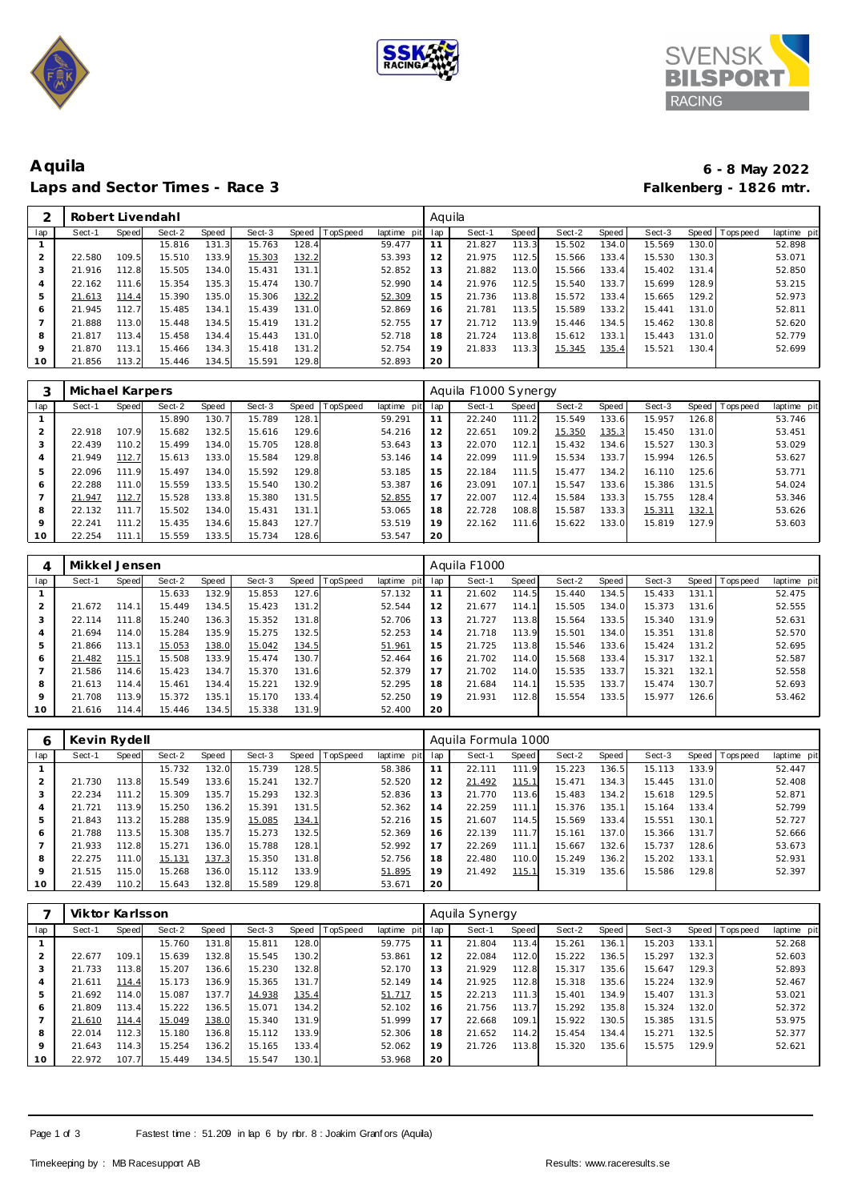





# **Aquila 6 - 8 May 2022** Laps and Sector Times - Race 3

|     | Robert Livendahl |       |        |       |        |           |          |             | Aquila |        |       |        |       |        |       |                   |             |
|-----|------------------|-------|--------|-------|--------|-----------|----------|-------------|--------|--------|-------|--------|-------|--------|-------|-------------------|-------------|
| lap | Sect-1           | Speed | Sect-2 | Speed | Sect-3 | Speed     | TopSpeed | laptime pit | lap    | Sect-1 | Speed | Sect-2 | Speed | Sect-3 |       | Speed   Tops peed | laptime pit |
|     |                  |       | 15.816 | 131.3 | 15.763 | 128.4     |          | 59.477      | 11     | 21.827 | 113.3 | 15.502 | 134.0 | 15.569 | 130.0 |                   | 52.898      |
| 2   | 22.580           | 109.5 | 15.510 | 133.9 | 15.303 | 132.2     |          | 53.393      | 12     | 21.975 | 112.5 | 15.566 | 133.4 | 15.530 | 130.3 |                   | 53.071      |
| 3   | 21.916           | 112.8 | 15.505 | 134.0 | 15.431 | 131.1     |          | 52.852      | 13     | 21.882 | 113.0 | 15.566 | 133.4 | 15.402 | 131.4 |                   | 52.850      |
| 4   | 22.162           | 111.6 | 15.354 | 135.3 | 15.474 | 130.7     |          | 52.990      | 14     | 21.976 | 112.5 | 15.540 | 133.7 | 15.699 | 128.9 |                   | 53.215      |
| 5   | 21.613           | 114.4 | 15.390 | 135.0 | 15.306 | 132.2     |          | 52.309      | 15     | 21.736 | 113.8 | 15.572 | 133.4 | 15.665 | 129.2 |                   | 52.973      |
| 6   | 21.945           | 112.7 | 15.485 | 134.1 | 15.439 | 131.0     |          | 52.869      | 16     | 21.781 | 113.5 | 15.589 | 133.2 | 15.441 | 131.0 |                   | 52.811      |
|     | 21.888           | 113.0 | 15.448 | 134.5 | 15.419 | 131.<br>2 |          | 52.755      | 17     | 21.712 | 113.9 | 15.446 | 134.5 | 15.462 | 130.8 |                   | 52.620      |
| 8   | 21.817           | 113.4 | 15.458 | 134.4 | 15.443 | 131.0     |          | 52.718      | 18     | 21.724 | 113.8 | 15.612 | 133.1 | 15.443 | 131.0 |                   | 52.779      |
| 9   | 21.870           | 113.1 | 15.466 | 134.3 | 15.418 | 131.2     |          | 52.754      | 19     | 21.833 | 113.3 | 15.345 | 135.4 | 15.521 | 130.4 |                   | 52.699      |
| 10  | 21.856           | 113.2 | 15.446 | 134.5 | 15.591 | 129.8     |          | 52.893      | 20     |        |       |        |       |        |       |                   |             |
|     |                  |       |        |       |        |           |          |             |        |        |       |        |       |        |       |                   |             |

|         | Michael Karpers |        |        |       |        |       |          |             |     | Aquila F1000 Synergy |              |        |       |        |       |                   |             |
|---------|-----------------|--------|--------|-------|--------|-------|----------|-------------|-----|----------------------|--------------|--------|-------|--------|-------|-------------------|-------------|
| lap     | Sect-1          | Speed  | Sect-2 | Speed | Sect-3 | Speed | TopSpeed | laptime pit | lap | Sect-1               | <b>Speed</b> | Sect-2 | Speed | Sect-3 |       | Speed   Tops peed | laptime pit |
|         |                 |        | 15.890 | 130.7 | 15.789 | 128.7 |          | 59.291      | 11  | 22.240               | 111.2        | 15.549 | 133.6 | 15.957 | 126.8 |                   | 53.746      |
|         | 22.918          | 107.9  | 15.682 | 132.5 | 15.616 | 129.6 |          | 54.216      | 12  | 22.651               | 109.2        | 15.350 | 135.3 | 15.450 | 131.0 |                   | 53.451      |
| 3       | 22.439          | 110.21 | 15.499 | 134.0 | 15.705 | 128.8 |          | 53.643      | 13  | 22.070               | 112.1        | 15.432 | 134.6 | 15.527 | 130.3 |                   | 53.029      |
| 4       | 21.949          | 112.7  | 15.613 | 133.0 | 15.584 | 129.8 |          | 53.146      | 14  | 22.099               | 111.9        | 15.534 | 133.7 | 15.994 | 126.5 |                   | 53.627      |
| 5       | 22.096          | 111.9  | 15.497 | 134.0 | 15.592 | 129.8 |          | 53.185      | 15  | 22.184               | 111.5        | 15.477 | 134.2 | 16.110 | 125.6 |                   | 53.771      |
| 6       | 22.288          | 111.0  | 15.559 | 133.5 | 15.540 | 130.2 |          | 53.387      | 16  | 23.091               | 107.1        | 15.547 | 133.6 | 15.386 | 131.5 |                   | 54.024      |
|         | 21.947          | 112.7  | 15.528 | 133.8 | 15.380 | 131.5 |          | 52.855      | 17  | 22.007               | 112.4        | 15.584 | 133.3 | 15.755 | 128.4 |                   | 53.346      |
| 8       | 22.132          | 111    | 15.502 | 134.0 | 15.431 | 131.1 |          | 53.065      | 18  | 22.728               | 108.8        | 15.587 | 133.3 | 15.311 | 132.1 |                   | 53.626      |
| $\circ$ | 22.241          | 111.2  | 15.435 | 134.6 | 15.843 | 127.7 |          | 53.519      | 19  | 22.162               | 111.6        | 15.622 | 133.0 | 15.819 | 127.9 |                   | 53.603      |
| 10      | 22.254          | 111.1  | 15.559 | 133.5 | 15.734 | 128.6 |          | 53.547      | 20  |                      |              |        |       |        |       |                   |             |

| 4       | Mikkel Jensen |           |        |       |        |       |          |             |     | Aguila F1000 |       |        |       |        |       |                   |             |
|---------|---------------|-----------|--------|-------|--------|-------|----------|-------------|-----|--------------|-------|--------|-------|--------|-------|-------------------|-------------|
| lap     | Sect-1        | Speed     | Sect-2 | Speed | Sect-3 | Speed | TopSpeed | laptime pit | lap | Sect-1       | Speed | Sect-2 | Speed | Sect-3 |       | Speed   Tops peed | laptime pit |
|         |               |           | 15.633 | 132.9 | 15.853 | 127.6 |          | 57.132      | 11  | 21.602       | 114.5 | 15.440 | 134.5 | 15.433 | 131.1 |                   | 52.475      |
| 2       | 21.672        | 114.1     | 15.449 | 134.5 | 15.423 | 131.2 |          | 52.544      | 12  | 21.677       | 114.1 | 15.505 | 134.0 | 15.373 | 131.6 |                   | 52.555      |
| 3       | 22.114        | 111<br>.8 | 15.240 | 136.3 | 15.352 | 131.8 |          | 52.706      | 13  | 21.727       | 113.8 | 15.564 | 133.5 | 15.340 | 131.9 |                   | 52.631      |
|         | 21.694        | 114.0     | 15.284 | 135.9 | 15.275 | 132.5 |          | 52.253      | 14  | 21.718       | 113.9 | 15.501 | 134.0 | 15.351 | 131.8 |                   | 52.570      |
|         | 21.866        | 113.1     | 15.053 | 138.0 | 15.042 | 134.5 |          | 51.961      | 15  | 21.725       | 113.8 | 15.546 | 133.6 | 15.424 | 131.2 |                   | 52.695      |
| 6       | 21.482        | 115.1     | 15.508 | 133.9 | 15.474 | 130.7 |          | 52.464      | 16  | 21.702       | 114.0 | 15.568 | 133.4 | 15.317 | 132.1 |                   | 52.587      |
|         | 21.586        | 114.6     | 15.423 | 134.  | 15.370 | 131.6 |          | 52.379      | 17  | 21.702       | 114.0 | 15.535 | 133.7 | 15.321 | 132.1 |                   | 52.558      |
| 8       | 21.613        | 114.4     | 15.461 | 134.4 | 15.221 | 132.9 |          | 52.295      | 18  | 21.684       | 114.1 | 15.535 | 133.7 | 15.474 | 130.7 |                   | 52.693      |
| $\circ$ | 21.708        | 113.9     | 15.372 | 135.1 | 15.170 | 133.4 |          | 52.250      | 19  | 21.931       | 112.8 | 15.554 | 133.5 | 15.977 | 126.6 |                   | 53.462      |
| 10      | 21.616        | 114.4     | 15.446 | 134.5 | 15.338 | 131.9 |          | 52.400      | 20  |              |       |        |       |        |       |                   |             |

| 6   | Kevin Rydell |              |        |       |        |              |                 |             |     | Aquila Formula 1000 |       |        |       |        |       |            |             |
|-----|--------------|--------------|--------|-------|--------|--------------|-----------------|-------------|-----|---------------------|-------|--------|-------|--------|-------|------------|-------------|
| lap | Sect-1       | <b>Speed</b> | Sect-2 | Speed | Sect-3 | Speed        | <b>TopSpeed</b> | laptime pit | lap | Sect-1              | Speed | Sect-2 | Speed | Sect-3 | Speed | Tops pee d | laptime pit |
|     |              |              | 15.732 | 132.0 | 15.739 | 128.5        |                 | 58.386      |     | 22.111              | 111.9 | 15.223 | 136.5 | 15.113 | 133.9 |            | 52.447      |
|     | 21.730       | 113.8        | 15.549 | 133.6 | 15.241 | 132.7        |                 | 52.520      | 12  | 21.492              | 115.1 | 15.471 | 134.3 | 15.445 | 131.0 |            | 52.408      |
| 3   | 22.234       | 111.2        | 15.309 | 135.7 | 15.293 | 132.3        |                 | 52.836      | 13  | 21.770              | 113.6 | 15.483 | 134.2 | 15.618 | 129.5 |            | 52.871      |
| 4   | 21.721       | 113.9        | 15.250 | 136.2 | 15.391 | 131.5        |                 | 52.362      | 14  | 22.259              | 111.1 | 15.376 | 135.1 | 15.164 | 133.4 |            | 52.799      |
| 5   | 21.843       | 113.2        | 15.288 | 135.9 | 15.085 | <u>134.1</u> |                 | 52.216      | 15  | 21.607              | 114.5 | 15.569 | 133.4 | 15.551 | 130.1 |            | 52.727      |
| 6   | 21.788       | 113.5        | 15.308 | 135.7 | 15.273 | 132.5        |                 | 52.369      | 16  | 22.139              | 111.7 | 15.161 | 137.0 | 15.366 | 131.7 |            | 52.666      |
|     | 21.933       | 112.8        | 15.271 | 136.0 | 15.788 | 128.1        |                 | 52.992      | 17  | 22.269              | 111.1 | 15.667 | 132.6 | 15.737 | 128.6 |            | 53.673      |
| 8   | 22.275       | 111.0        | 15.131 | 137.3 | 15.350 | 131.8        |                 | 52.756      | 18  | 22.480              | 110.0 | 15.249 | 136.2 | 15.202 | 133.1 |            | 52.931      |
| 9   | 21.515       | 115.0        | 15.268 | 136.0 | 15.112 | 133.9        |                 | 51.895      | 19  | 21.492              | 115.1 | 15.319 | 135.6 | 15.586 | 129.8 |            | 52.397      |
| 10  | 22.439       | 110.2        | 15.643 | 132.8 | 15.589 | 129.8        |                 | 53.671      | 20  |                     |       |        |       |        |       |            |             |

|     | Viktor Karlsson |       |        |             |        |       |          |             |     | Aquila Synergy |       |        |       |        |       |                 |             |
|-----|-----------------|-------|--------|-------------|--------|-------|----------|-------------|-----|----------------|-------|--------|-------|--------|-------|-----------------|-------------|
| lap | Sect-1          | Speed | Sect-2 | Speed       | Sect-3 | Speed | TopSpeed | laptime pit | lap | Sect-1         | Speed | Sect-2 | Speed | Sect-3 |       | Speed Tops peed | laptime pit |
|     |                 |       | 15.760 | 131<br>r.8L | 15.811 | 128.0 |          | 59.775      | 11  | 21.804         | 113.4 | 15.261 | 136.1 | 15.203 | 133.1 |                 | 52.268      |
|     | 22.677          | 109.1 | 15.639 | 132.8       | 15.545 | 130.2 |          | 53.861      | 12  | 22.084         | 112.0 | 15.222 | 136.5 | 15.297 | 132.3 |                 | 52.603      |
| 3   | 21.733          | 113.8 | 15.207 | 136.6       | 15.230 | 132.8 |          | 52.170      | 13  | 21.929         | 112.8 | 15.317 | 135.6 | 15.647 | 129.3 |                 | 52.893      |
| 4   | 21.611          | 114.4 | 15.173 | 136.9       | 15.365 | 131.7 |          | 52.149      | 14  | 21.925         | 112.8 | 15.318 | 135.6 | 15.224 | 132.9 |                 | 52.467      |
| 5   | 21.692          | 114.0 | 15.087 | 137.7       | 14.938 | 135.4 |          | 51.717      | 15  | 22.213         | 111.3 | 15.401 | 134.9 | 15.407 | 131.3 |                 | 53.021      |
| 6   | 21.809          | 113.4 | 15.222 | 136.5       | 15.071 | 134.2 |          | 52.102      | 16  | 21.756         | 113.7 | 15.292 | 135.8 | 15.324 | 132.0 |                 | 52.372      |
|     | 21.610          | 114.4 | 15.049 | 138.0       | 15.340 | 131.9 |          | 51.999      | 17  | 22.668         | 109.1 | 15.922 | 130.5 | 15.385 | 131.5 |                 | 53.975      |
| 8   | 22.014          | 112.3 | 15.180 | 136.8       | 15.112 | 133.9 |          | 52.306      | 18  | 21.652         | 114.2 | 15.454 | 134.4 | 15.271 | 132.5 |                 | 52.377      |
| 9   | 21.643          | 114.3 | 15.254 | 136.2       | 15.165 | 133.4 |          | 52.062      | 19  | 21.726         | 113.8 | 15.320 | 135.6 | 15.575 | 129.9 |                 | 52.621      |
| 10  | 22.972          | 107.7 | 15.449 | 134.5       | 15.547 | 130.1 |          | 53.968      | 20  |                |       |        |       |        |       |                 |             |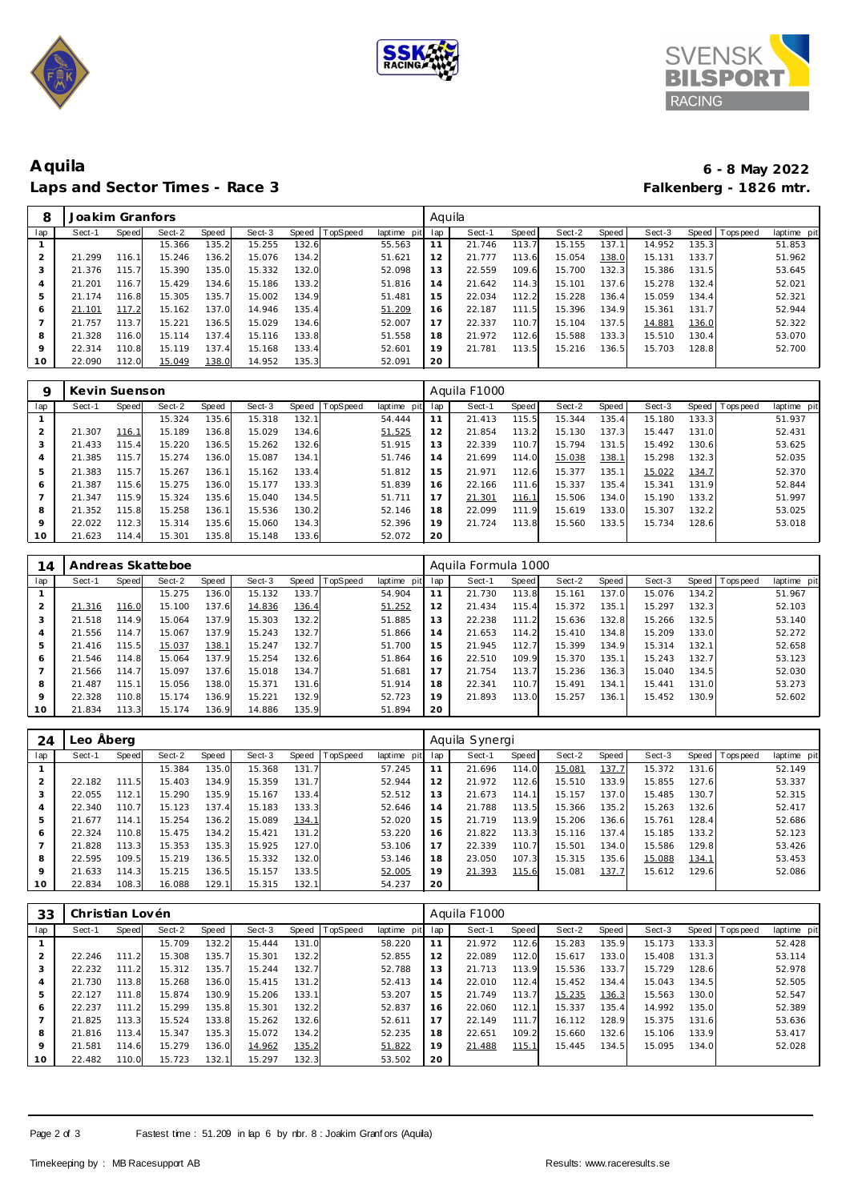





## **Aquila 6 - 8 May 2022** Laps and Sector Times - Race 3

| 8              | Joakim Granfors |       |        |       |        |       |          |             | Aquila |        |       |        |       |        |       |                   |             |
|----------------|-----------------|-------|--------|-------|--------|-------|----------|-------------|--------|--------|-------|--------|-------|--------|-------|-------------------|-------------|
| lap            | Sect-1          | Speed | Sect-2 | Speed | Sect-3 | Speed | TopSpeed | laptime pit | lap    | Sect-1 | Speed | Sect-2 | Speed | Sect-3 |       | Speed   Tops peed | laptime pit |
|                |                 |       | 15.366 | 135.2 | 15.255 | 132.6 |          | 55.563      | 11     | 21.746 | 113.7 | 15.155 | 137.1 | 14.952 | 135.3 |                   | 51.853      |
| $\overline{2}$ | 21.299          | 116.1 | 15.246 | 136.2 | 15.076 | 134.2 |          | 51.621      | 12     | 21.777 | 113.6 | 15.054 | 138.0 | 15.131 | 133.7 |                   | 51.962      |
| 3              | 21.376          | 115.7 | 15.390 | 135.0 | 15.332 | 132.0 |          | 52.098      | 13     | 22.559 | 109.6 | 15.700 | 132.3 | 15.386 | 131.5 |                   | 53.645      |
| 4              | 21.201          | 116.7 | 15.429 | 134.6 | 15.186 | 133.2 |          | 51.816      | 14     | 21.642 | 114.3 | 15.101 | 137.6 | 15.278 | 132.4 |                   | 52.021      |
| 5              | 21.174          | 116.8 | 15.305 | 135.7 | 15.002 | 134.9 |          | 51.481      | 15     | 22.034 | 112.2 | 15.228 | 136.4 | 15.059 | 134.4 |                   | 52.321      |
| 6              | 21.101          | 117.2 | 15.162 | 137.0 | 14.946 | 135.4 |          | 51.209      | 16     | 22.187 | 111.5 | 15.396 | 134.9 | 15.361 | 131.7 |                   | 52.944      |
|                | 21.757          | 113.7 | 15.221 | 136.5 | 15.029 | 134.6 |          | 52.007      | 17     | 22.337 | 110.7 | 15.104 | 137.5 | 14.881 | 136.0 |                   | 52.322      |
| 8              | 21.328          | 116.0 | 15.114 | 137.4 | 15.116 | 133.8 |          | 51.558      | 18     | 21.972 | 112.6 | 15.588 | 133.3 | 15.510 | 130.4 |                   | 53.070      |
| 9              | 22.314          | 110.8 | 15.119 | 137.4 | 15.168 | 133.4 |          | 52.601      | 19     | 21.781 | 113.5 | 15.216 | 136.5 | 15.703 | 128.8 |                   | 52.700      |
| 10             | 22.090          | 112.0 | 15.049 | 138.0 | 14.952 | 135.3 |          | 52.091      | 20     |        |       |        |       |        |       |                   |             |
|                |                 |       |        |       |        |       |          |             |        |        |       |        |       |        |       |                   |             |

| Q   | Kevin Suenson |       |        |       |        |       |          |                |     | Aquila F1000 |       |        |       |        |       |                |             |
|-----|---------------|-------|--------|-------|--------|-------|----------|----------------|-----|--------------|-------|--------|-------|--------|-------|----------------|-------------|
| lap | Sect-1        | Speed | Sect-2 | Speed | Sect-3 | Speed | TopSpeed | laptime<br>pit | lap | Sect-1       | Speed | Sect-2 | Speed | Sect-3 |       | Speed Topspeed | laptime pit |
|     |               |       | 15.324 | 135.6 | 15.318 | 132.1 |          | 54.444         | 11  | 21.413       | 115.5 | 15.344 | 135.4 | 15.180 | 133.3 |                | 51.937      |
|     | 21.307        | 116.1 | 15.189 | 136.8 | 15.029 | 134.6 |          | 51.525         | 12  | 21.854       | 113.2 | 15.130 | 137.3 | 15.447 | 131.0 |                | 52.431      |
| 3   | 21.433        | 115.4 | 15.220 | 136.5 | 15.262 | 132.6 |          | 51.915         | 13  | 22.339       | 110.7 | 15.794 | 131.5 | 15.492 | 130.6 |                | 53.625      |
| 4   | 21.385        | 115.7 | 15.274 | 136.0 | 15.087 | 134.1 |          | 51.746         | 14  | 21.699       | 114.0 | 15.038 | 138.  | 15.298 | 132.3 |                | 52.035      |
| 5   | 21.383        | 115.7 | 15.267 | 136.1 | 15.162 | 133.4 |          | 51.812         | 15  | 21.971       | 112.6 | 15.377 | 135.1 | 15.022 | 134.7 |                | 52.370      |
| 6   | 21.387        | 115.6 | 15.275 | 136.0 | 15.177 | 133.3 |          | 51.839         | 16  | 22.166       | 111.6 | 15.337 | 135.4 | 15.341 | 131.9 |                | 52.844      |
|     | 21.347        | 115.9 | 15.324 | 135.6 | 15.040 | 134.5 |          | 51.711         | 17  | 21.301       | 116.1 | 15.506 | 134.0 | 15.190 | 133.2 |                | 51.997      |
| 8   | 21.352        | 115.8 | 15.258 | 136.1 | 15.536 | 130.2 |          | 52.146         | 18  | 22.099       | 111.9 | 15.619 | 133.0 | 15.307 | 132.2 |                | 53.025      |
| 9   | 22.022        | 112.3 | 15.314 | 135.6 | 15.060 | 134.3 |          | 52.396         | 19  | 21.724       | 113.8 | 15.560 | 133.5 | 15.734 | 128.6 |                | 53.018      |
| 10  | 21.623        | 114.4 | 15.301 | 135.8 | 15.148 | 133.6 |          | 52.072         | 20  |              |       |        |       |        |       |                |             |

| 14      |        |       | Andreas Skatteboe |       |        |       |          |                |     | Aquila Formula 1000 |       |        |         |        |       |                 |             |
|---------|--------|-------|-------------------|-------|--------|-------|----------|----------------|-----|---------------------|-------|--------|---------|--------|-------|-----------------|-------------|
| lap     | Sect-1 | Speed | Sect-2            | Speed | Sect-3 | Speed | TopSpeed | laptime<br>pit | lap | Sect-1              | Speed | Sect-2 | Speed ! | Sect-3 |       | Speed Tops peed | laptime pit |
|         |        |       | 15.275            | 136.0 | 15.132 | 133.7 |          | 54.904         | 11  | 21.730              | 113.8 | 15.161 | 137.0   | 15.076 | 134.2 |                 | 51.967      |
| 2       | 21.316 | 116.0 | 15.100            | 137.6 | 14.836 | 136.4 |          | 51.252         | 12  | 21.434              | 115.4 | 15.372 | 135.1   | 15.297 | 132.3 |                 | 52.103      |
| 3       | 21.518 | 114.9 | 15.064            | 137.9 | 15.303 | 132.2 |          | 51.885         | 13  | 22.238              | 111.2 | 15.636 | 132.8   | 15.266 | 132.5 |                 | 53.140      |
|         | 21.556 | 114.7 | 15.067            | 137.9 | 15.243 | 132.7 |          | 51.866         | 14  | 21.653              | 114.2 | 15.410 | 134.8   | 15.209 | 133.0 |                 | 52.272      |
|         | 21.416 | 115.5 | 15.037            | 138.1 | 15.247 | 132.7 |          | 51.700         | 15  | 21.945              | 112.7 | 15.399 | 134.9   | 15.314 | 132.1 |                 | 52.658      |
| 6       | 21.546 | 114.8 | 15.064            | 137.9 | 15.254 | 132.6 |          | 51.864         | 16  | 22.510              | 109.9 | 15.370 | 135.1   | 15.243 | 132.7 |                 | 53.123      |
|         | 21.566 | 114.7 | 15.097            | 137.6 | 15.018 | 134.7 |          | 51.681         | 17  | 21.754              | 113.7 | 15.236 | 136.3   | 15.040 | 134.5 |                 | 52.030      |
| 8       | 21.487 | 115.1 | 15.056            | 138.0 | 15.371 | 131.6 |          | 51.914         | 18  | 22.341              | 110.7 | 15.491 | 134.1   | 15.441 | 131.0 |                 | 53.273      |
| $\circ$ | 22.328 | 110.8 | 15.174            | 136.9 | 15.221 | 132.9 |          | 52.723         | 19  | 21.893              | 113.0 | 15.257 | 136.1   | 15.452 | 130.9 |                 | 52.602      |
| 10      | 21.834 | 113.3 | 15.174            | 136.9 | 14.886 | 135.9 |          | 51.894         | 20  |                     |       |        |         |        |       |                 |             |

| 24              | Leo Abera |       |        |       |        |       |                 |                |     | Aquila Synergi |       |        |       |        |       |                   |             |
|-----------------|-----------|-------|--------|-------|--------|-------|-----------------|----------------|-----|----------------|-------|--------|-------|--------|-------|-------------------|-------------|
| lap             | Sect-1    | Speed | Sect-2 | Speed | Sect-3 | Speed | <b>TopSpeed</b> | laptime<br>pit | lap | Sect-1         | Speed | Sect-2 | Speed | Sect-3 |       | Speed   Tops peed | laptime pit |
|                 |           |       | 15.384 | 135.0 | 15.368 | 131.7 |                 | 57.245         | 11  | 21.696         | 114.0 | 15.081 | 137.7 | 15.372 | 131.6 |                   | 52.149      |
| $\bigcirc$<br>∠ | 22.182    | 111.5 | 15.403 | 134.9 | 15.359 | 131.7 |                 | 52.944         | 12  | 21.972         | 112.6 | 15.510 | 133.9 | 15.855 | 127.6 |                   | 53.337      |
| 3               | 22.055    | 112.1 | 15.290 | 135.9 | 15.167 | 133.4 |                 | 52.512         | 13  | 21.673         | 114.1 | 15.157 | 137.0 | 15.485 | 130.7 |                   | 52.315      |
| 4               | 22.340    | 110.7 | 15.123 | 137.4 | 15.183 | 133.3 |                 | 52.646         | 14  | 21.788         | 113.5 | 15.366 | 135.2 | 15.263 | 132.6 |                   | 52.417      |
| 5               | 21.677    | 114.1 | 15.254 | 136.2 | 15.089 | 134.1 |                 | 52.020         | 15  | 21.719         | 113.9 | 15.206 | 136.6 | 15.761 | 128.4 |                   | 52.686      |
| 6               | 22.324    | 110.8 | 15.475 | 134.2 | 15.421 | 131.2 |                 | 53.220         | 16  | 21.822         | 113.3 | 15.116 | 137.4 | 15.185 | 133.2 |                   | 52.123      |
|                 | 21.828    | 113.3 | 15.353 | 135.3 | 15.925 | 127.0 |                 | 53.106         | 17  | 22.339         | 110.7 | 15.501 | 134.0 | 15.586 | 129.8 |                   | 53.426      |
| 8               | 22.595    | 109.5 | 15.219 | 136.5 | 15.332 | 132.0 |                 | 53.146         | 18  | 23.050         | 107.3 | 15.315 | 135.6 | 15.088 | 134.1 |                   | 53.453      |
| $\circ$         | 21.633    | 114.3 | 15.215 | 136.5 | 15.157 | 133.5 |                 | 52.005         | 19  | 21.393         | 115.6 | 15.081 | 137.7 | 15.612 | 129.6 |                   | 52.086      |
| 10              | 22.834    | 108.3 | 16.088 | 129.7 | 15.315 | 132.1 |                 | 54.237         | 20  |                |       |        |       |        |       |                   |             |

| 33      | Christian Lovén |       |        |       |        |       |          |                |     | Aguila F1000 |       |        |       |        |       |                  |             |
|---------|-----------------|-------|--------|-------|--------|-------|----------|----------------|-----|--------------|-------|--------|-------|--------|-------|------------------|-------------|
| lap     | Sect-1          | Speed | Sect-2 | Speed | Sect-3 | Speed | TopSpeed | laptime<br>pit | lap | Sect-1       | Speed | Sect-2 | Speed | Sect-3 | Speed | <b>Tops peed</b> | laptime pit |
|         |                 |       | 15.709 | 132.2 | 15.444 | 131.0 |          | 58.220         | 11  | 21.972       | 112.6 | 15.283 | 135.9 | 15.173 | 133.3 |                  | 52.428      |
|         | 22.246          | 111.2 | 15.308 | 135.7 | 15.301 | 132.2 |          | 52.855         | 12  | 22.089       | 112.0 | 15.617 | 133.0 | 15.408 | 131.3 |                  | 53.114      |
|         | 22.232          | 111.2 | 15.312 | 135.7 | 15.244 | 132.7 |          | 52.788         | 13  | 21.713       | 113.9 | 15.536 | 133.7 | 15.729 | 128.6 |                  | 52.978      |
| 4       | 21.730          | 113.8 | 15.268 | 136.0 | 15.415 | 131.2 |          | 52.413         | 14  | 22.010       | 112.4 | 15.452 | 134.4 | 15.043 | 134.5 |                  | 52.505      |
|         | 22.127          | 111.8 | 15.874 | 130.9 | 15.206 | 133.1 |          | 53.207         | 15  | 21.749       | 113.7 | 15.235 | 136.3 | 15.563 | 130.0 |                  | 52.547      |
| 6       | 22.237          | 111.2 | 15.299 | 135.8 | 15.301 | 132.2 |          | 52.837         | 16  | 22.060       | 112.1 | 15.337 | 135.4 | 14.992 | 135.0 |                  | 52.389      |
|         | 21.825          | 113.3 | 15.524 | 133.8 | 15.262 | 132.6 |          | 52.611         | 17  | 22.149       | 111.7 | 16.112 | 128.9 | 15.375 | 131.6 |                  | 53.636      |
| 8       | 21.816          | 113.4 | 15.347 | 135.3 | 15.072 | 134.2 |          | 52.235         | 18  | 22.651       | 109.2 | 15.660 | 132.6 | 15.106 | 133.9 |                  | 53.417      |
| $\circ$ | 21.581          | 114.6 | 15.279 | 136.0 | 14.962 | 135.2 |          | 51.822         | 19  | 21.488       | 115.1 | 15.445 | 134.5 | 15.095 | 134.0 |                  | 52.028      |
| 10      | 22.482          | 110.0 | 15.723 | 132.1 | 15.297 | 132.3 |          | 53.502         | 20  |              |       |        |       |        |       |                  |             |